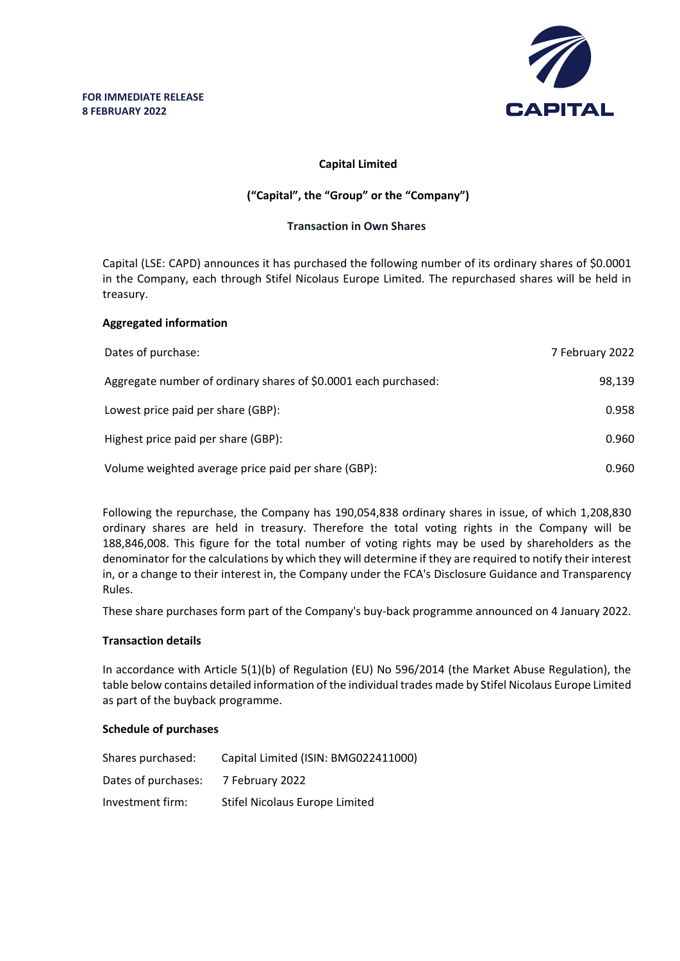

# **Capital Limited**

# **("Capital", the "Group" or the "Company")**

## **Transaction in Own Shares**

Capital (LSE: CAPD) announces it has purchased the following number of its ordinary shares of \$0.0001 in the Company, each through Stifel Nicolaus Europe Limited. The repurchased shares will be held in treasury.

## **Aggregated information**

| Dates of purchase:                                              | 7 February 2022 |
|-----------------------------------------------------------------|-----------------|
| Aggregate number of ordinary shares of \$0.0001 each purchased: | 98,139          |
| Lowest price paid per share (GBP):                              | 0.958           |
| Highest price paid per share (GBP):                             | 0.960           |
| Volume weighted average price paid per share (GBP):             | 0.960           |

Following the repurchase, the Company has 190,054,838 ordinary shares in issue, of which 1,208,830 ordinary shares are held in treasury. Therefore the total voting rights in the Company will be 188,846,008. This figure for the total number of voting rights may be used by shareholders as the denominator for the calculations by which they will determine if they are required to notify their interest in, or a change to their interest in, the Company under the FCA's Disclosure Guidance and Transparency Rules.

These share purchases form part of the Company's buy-back programme announced on 4 January 2022.

### **Transaction details**

In accordance with Article 5(1)(b) of Regulation (EU) No 596/2014 (the Market Abuse Regulation), the table below contains detailed information of the individual trades made by Stifel Nicolaus Europe Limited as part of the buyback programme.

### **Schedule of purchases**

| Shares purchased:   | Capital Limited (ISIN: BMG022411000) |
|---------------------|--------------------------------------|
| Dates of purchases: | 7 February 2022                      |
| Investment firm:    | Stifel Nicolaus Europe Limited       |